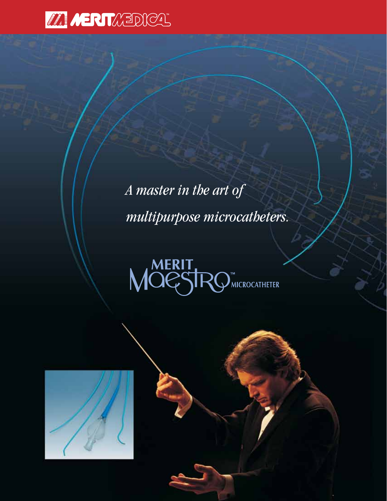

*A master in the art of multipurpose microcatheters.*



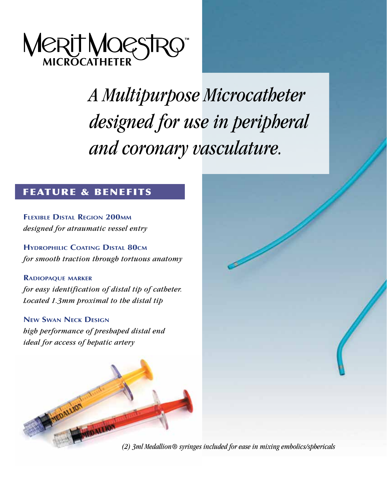

*A Multipurpose Microcatheter designed for use in peripheral and coronary vasculature.*

### feature & benefits

**Flexible Distal Region 200mm** *designed for atraumatic vessel entry* 

**Hydrophilic Coating Distal 80cm** *for smooth traction through tortuous anatomy*

### **Radiopaque marker**

*for easy identification of distal tip of catheter. Located 1.3mm proximal to the distal tip*

### **New Swan Neck Design**

*high performance of preshaped distal end ideal for access of hepatic artery* 



*(2) 3ml Medallion® syringes included for ease in mixing embolics/sphericals*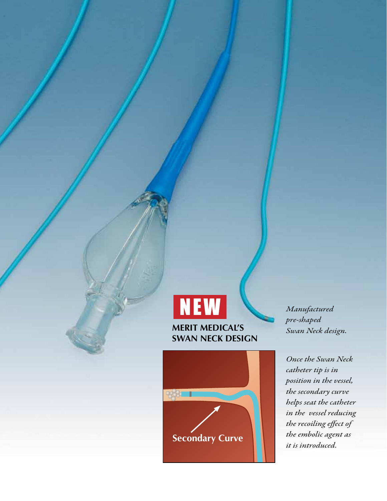



*Manufactured pre-shaped Swan Neck design.*

*Once the Swan Neck catheter tip is in position in the vessel, the secondary curve helps seat the catheter in the vessel reducing the recoiling effect of the embolic agent as*